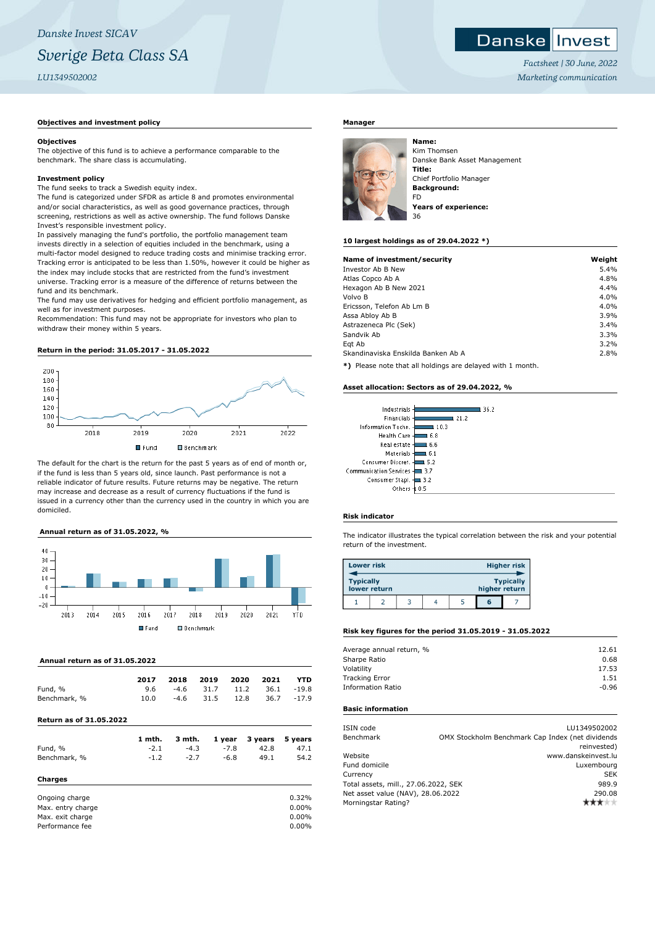## *Danske Invest SICAV Sverige Beta Class SA LU1349502002*

## **Objectives and investment policy**

### **Objectives**

The objective of this fund is to achieve a performance comparable to the benchmark. The share class is accumulating.

#### **Investment policy**

The fund seeks to track a Swedish equity index.

The fund is categorized under SFDR as article 8 and promotes environmental and/or social characteristics, as well as good governance practices, through screening, restrictions as well as active ownership. The fund follows Danske Invest's responsible investment policy.

In passively managing the fund's portfolio, the portfolio management team invests directly in a selection of equities included in the benchmark, using a multi-factor model designed to reduce trading costs and minimise tracking error. Tracking error is anticipated to be less than 1.50%, however it could be higher as the index may include stocks that are restricted from the fund's investment universe. Tracking error is a measure of the difference of returns between the fund and its benchmark.

The fund may use derivatives for hedging and efficient portfolio management, as well as for investment purposes.

Recommendation: This fund may not be appropriate for investors who plan to withdraw their money within 5 years.

#### **Return in the period: 31.05.2017 - 31.05.2022**



The default for the chart is the return for the past 5 years as of end of month or, if the fund is less than 5 years old, since launch. Past performance is not a reliable indicator of future results. Future returns may be negative. The return may increase and decrease as a result of currency fluctuations if the fund is issued in a currency other than the currency used in the country in which you are domiciled.

## **Annual return as of 31.05.2022, %**



#### **Annual return as of 31.05.2022**

|              | 2017 | 2018   | 2019 | 2020 | 2021 | <b>YTD</b> |
|--------------|------|--------|------|------|------|------------|
| Fund, %      | 9.6  | -4.6   | 31.7 | 11.2 |      | 36.1 -19.8 |
| Benchmark, % | 10.0 | $-4.6$ | 31.5 | 12.8 | 36.7 | $-17.9$    |

## **Return as of 31.05.2022**

|              | 1 mth. | 3 mth. |        | 1 year 3 years 5 years |      |
|--------------|--------|--------|--------|------------------------|------|
| Fund, %      | $-2.1$ | $-4.3$ | $-7.8$ | 42.8                   | 47.1 |
| Benchmark, % | $-1.2$ | $-2.7$ | -6.8   | 49.1                   | 54.2 |
| Charges      |        |        |        |                        |      |

| Ongoing charge    | 0.32%    |
|-------------------|----------|
| Max. entry charge | $0.00\%$ |
| Max. exit charge  | $0.00\%$ |
| Performance fee   | $0.00\%$ |

## **Manager**



Kim Thomsen Danske Bank Asset Management **Title:** Chief Portfolio Manager **Background:** FD **Years of experience:**

#### **10 largest holdings as of 29.04.2022 \*)**

| Name of investment/security        | Weight |
|------------------------------------|--------|
| Investor Ab B New                  | 5.4%   |
| Atlas Copco Ab A                   | 4.8%   |
| Hexagon Ab B New 2021              | 4.4%   |
| Volvo B                            | 4.0%   |
| Ericsson, Telefon Ab Lm B          | 4.0%   |
| Assa Abloy Ab B                    | 3.9%   |
| Astrazeneca Plc (Sek)              | 3.4%   |
| Sandvik Ab                         | 3.3%   |
| Egt Ab                             | 3.2%   |
| Skandinaviska Enskilda Banken Ab A | 2.8%   |
|                                    |        |

**\*)** Please note that all holdings are delayed with 1 month.

#### **Asset allocation: Sectors as of 29.04.2022, %**

| Financials<br>21.2              |  |
|---------------------------------|--|
| Information Techn. -<br>10.3    |  |
| Health Care -<br>6.8            |  |
| Real estate 4<br>6.6            |  |
| Materials-<br>61                |  |
| Consumer Discret. -<br>5.2      |  |
| Communication Services -<br>3.7 |  |
| Consumer Stapl.<br>3.2          |  |
| Others<br>n s                   |  |

#### **Risk indicator**

The indicator illustrates the typical correlation between the risk and your potential return of the investment.

| <b>Lower risk</b> |              |  |               | <b>Higher risk</b> |
|-------------------|--------------|--|---------------|--------------------|
| <b>Typically</b>  | lower return |  | higher return | <b>Typically</b>   |
|                   |              |  | 6             |                    |

## **Risk key figures for the period 31.05.2019 - 31.05.2022**

| Average annual return, % | 12.61   |
|--------------------------|---------|
| Sharpe Ratio             | 0.68    |
| Volatility               | 17.53   |
| <b>Tracking Error</b>    | 1.51    |
| <b>Information Ratio</b> | $-0.96$ |
|                          |         |

## **Basic information**

| ISIN code                            | LU1349502002                                     |
|--------------------------------------|--------------------------------------------------|
| Benchmark                            | OMX Stockholm Benchmark Cap Index (net dividends |
|                                      | reinvested)                                      |
| Website                              | www.danskeinvest.lu                              |
| Fund domicile                        | Luxembourg                                       |
| Currency                             | <b>SEK</b>                                       |
| Total assets, mill., 27.06.2022, SEK | 989.9                                            |
| Net asset value (NAV), 28.06.2022    | 290.08                                           |
| Morningstar Rating?                  |                                                  |

*Factsheet | 30 June, 2022 Marketing communication*